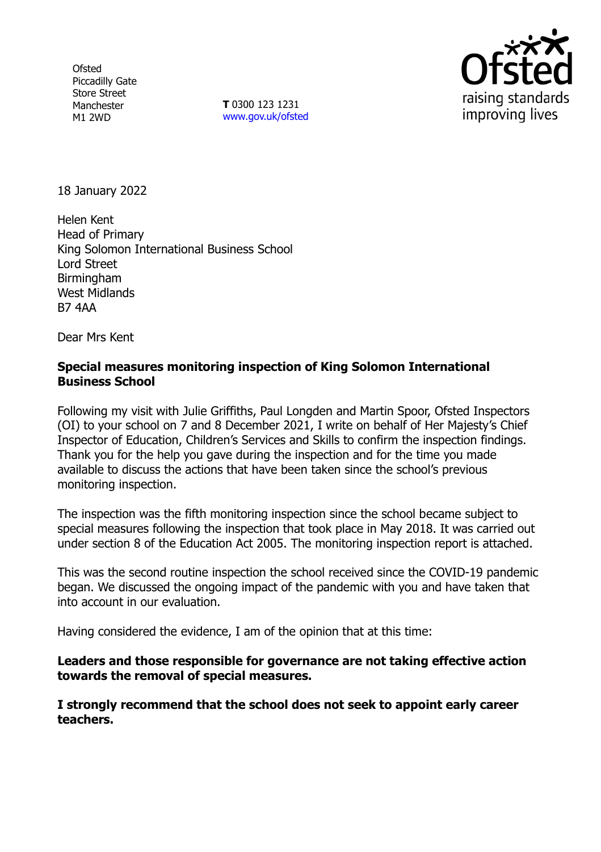**Ofsted** Piccadilly Gate Store Street Manchester M1 2WD

**T** 0300 123 1231 [www.gov.uk/ofsted](http://www.gov.uk/ofsted)



18 January 2022

Helen Kent Head of Primary King Solomon International Business School Lord Street Birmingham West Midlands B7 4AA

Dear Mrs Kent

## **Special measures monitoring inspection of King Solomon International Business School**

Following my visit with Julie Griffiths, Paul Longden and Martin Spoor, Ofsted Inspectors (OI) to your school on 7 and 8 December 2021, I write on behalf of Her Majesty's Chief Inspector of Education, Children's Services and Skills to confirm the inspection findings. Thank you for the help you gave during the inspection and for the time you made available to discuss the actions that have been taken since the school's previous monitoring inspection.

The inspection was the fifth monitoring inspection since the school became subject to special measures following the inspection that took place in May 2018. It was carried out under section 8 of the Education Act 2005. The monitoring inspection report is attached.

This was the second routine inspection the school received since the COVID-19 pandemic began. We discussed the ongoing impact of the pandemic with you and have taken that into account in our evaluation.

Having considered the evidence, I am of the opinion that at this time:

**Leaders and those responsible for governance are not taking effective action towards the removal of special measures.**

**I strongly recommend that the school does not seek to appoint early career teachers.**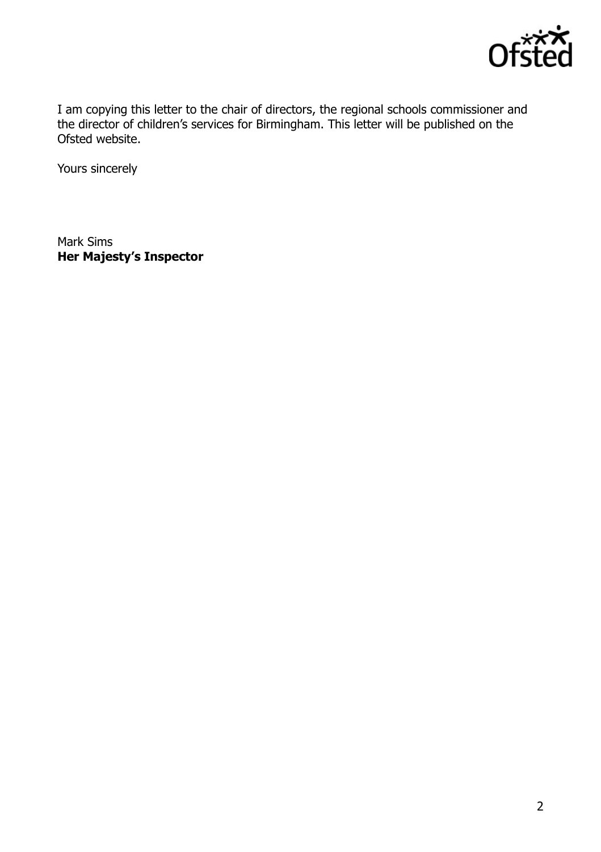

I am copying this letter to the chair of directors, the regional schools commissioner and the director of children's services for Birmingham. This letter will be published on the Ofsted website.

Yours sincerely

Mark Sims **Her Majesty's Inspector**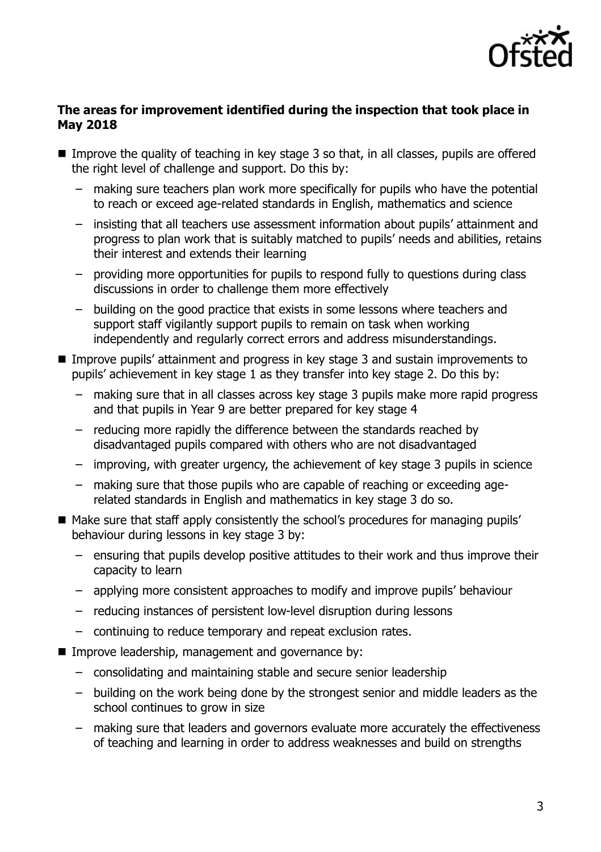

#### **The areas for improvement identified during the inspection that took place in May 2018**

- Improve the quality of teaching in key stage 3 so that, in all classes, pupils are offered the right level of challenge and support. Do this by:
	- making sure teachers plan work more specifically for pupils who have the potential to reach or exceed age-related standards in English, mathematics and science
	- insisting that all teachers use assessment information about pupils' attainment and progress to plan work that is suitably matched to pupils' needs and abilities, retains their interest and extends their learning
	- providing more opportunities for pupils to respond fully to questions during class discussions in order to challenge them more effectively
	- building on the good practice that exists in some lessons where teachers and support staff vigilantly support pupils to remain on task when working independently and regularly correct errors and address misunderstandings.
- Improve pupils' attainment and progress in key stage 3 and sustain improvements to pupils' achievement in key stage 1 as they transfer into key stage 2. Do this by:
	- making sure that in all classes across key stage 3 pupils make more rapid progress and that pupils in Year 9 are better prepared for key stage 4
	- reducing more rapidly the difference between the standards reached by disadvantaged pupils compared with others who are not disadvantaged
	- improving, with greater urgency, the achievement of key stage 3 pupils in science
	- making sure that those pupils who are capable of reaching or exceeding agerelated standards in English and mathematics in key stage 3 do so.
- Make sure that staff apply consistently the school's procedures for managing pupils' behaviour during lessons in key stage 3 by:
	- ensuring that pupils develop positive attitudes to their work and thus improve their capacity to learn
	- applying more consistent approaches to modify and improve pupils' behaviour
	- reducing instances of persistent low-level disruption during lessons
	- continuing to reduce temporary and repeat exclusion rates.
- **IMPROVE leadership, management and governance by:** 
	- consolidating and maintaining stable and secure senior leadership
	- building on the work being done by the strongest senior and middle leaders as the school continues to grow in size
	- making sure that leaders and governors evaluate more accurately the effectiveness of teaching and learning in order to address weaknesses and build on strengths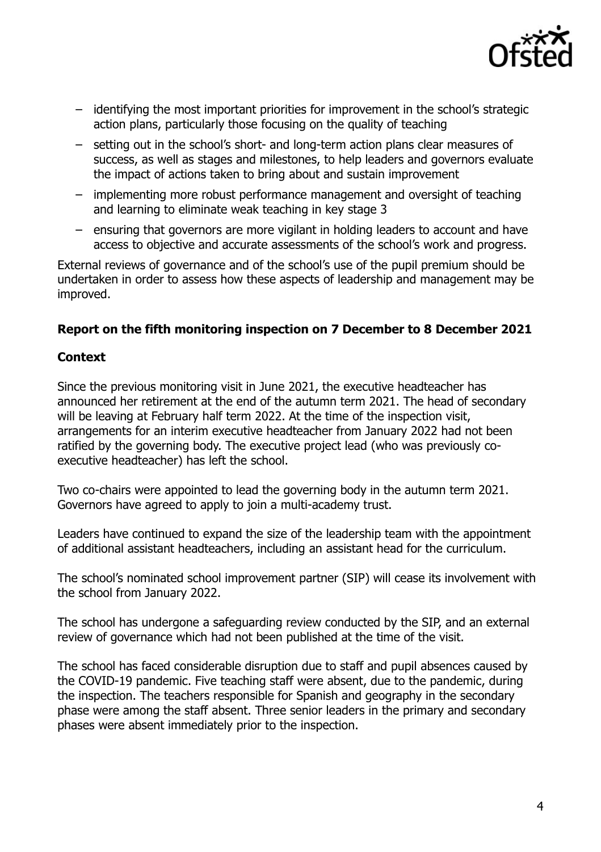

- identifying the most important priorities for improvement in the school's strategic action plans, particularly those focusing on the quality of teaching
- setting out in the school's short- and long-term action plans clear measures of success, as well as stages and milestones, to help leaders and governors evaluate the impact of actions taken to bring about and sustain improvement
- implementing more robust performance management and oversight of teaching and learning to eliminate weak teaching in key stage 3
- ensuring that governors are more vigilant in holding leaders to account and have access to objective and accurate assessments of the school's work and progress.

External reviews of governance and of the school's use of the pupil premium should be undertaken in order to assess how these aspects of leadership and management may be improved.

# **Report on the fifth monitoring inspection on 7 December to 8 December 2021**

## **Context**

Since the previous monitoring visit in June 2021, the executive headteacher has announced her retirement at the end of the autumn term 2021. The head of secondary will be leaving at February half term 2022. At the time of the inspection visit, arrangements for an interim executive headteacher from January 2022 had not been ratified by the governing body. The executive project lead (who was previously coexecutive headteacher) has left the school.

Two co-chairs were appointed to lead the governing body in the autumn term 2021. Governors have agreed to apply to join a multi-academy trust.

Leaders have continued to expand the size of the leadership team with the appointment of additional assistant headteachers, including an assistant head for the curriculum.

The school's nominated school improvement partner (SIP) will cease its involvement with the school from January 2022.

The school has undergone a safeguarding review conducted by the SIP, and an external review of governance which had not been published at the time of the visit.

The school has faced considerable disruption due to staff and pupil absences caused by the COVID-19 pandemic. Five teaching staff were absent, due to the pandemic, during the inspection. The teachers responsible for Spanish and geography in the secondary phase were among the staff absent. Three senior leaders in the primary and secondary phases were absent immediately prior to the inspection.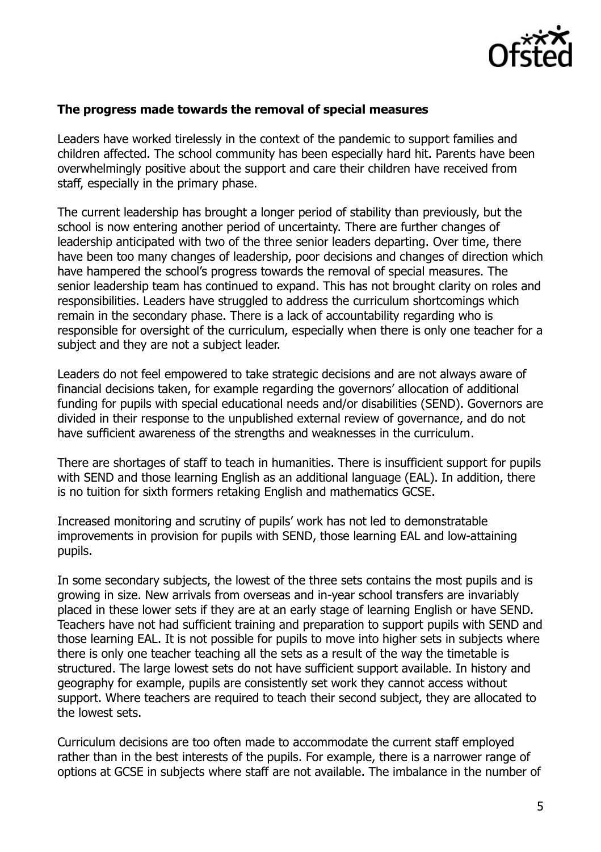

#### **The progress made towards the removal of special measures**

Leaders have worked tirelessly in the context of the pandemic to support families and children affected. The school community has been especially hard hit. Parents have been overwhelmingly positive about the support and care their children have received from staff, especially in the primary phase.

The current leadership has brought a longer period of stability than previously, but the school is now entering another period of uncertainty. There are further changes of leadership anticipated with two of the three senior leaders departing. Over time, there have been too many changes of leadership, poor decisions and changes of direction which have hampered the school's progress towards the removal of special measures. The senior leadership team has continued to expand. This has not brought clarity on roles and responsibilities. Leaders have struggled to address the curriculum shortcomings which remain in the secondary phase. There is a lack of accountability regarding who is responsible for oversight of the curriculum, especially when there is only one teacher for a subject and they are not a subject leader.

Leaders do not feel empowered to take strategic decisions and are not always aware of financial decisions taken, for example regarding the governors' allocation of additional funding for pupils with special educational needs and/or disabilities (SEND). Governors are divided in their response to the unpublished external review of governance, and do not have sufficient awareness of the strengths and weaknesses in the curriculum.

There are shortages of staff to teach in humanities. There is insufficient support for pupils with SEND and those learning English as an additional language (EAL). In addition, there is no tuition for sixth formers retaking English and mathematics GCSE.

Increased monitoring and scrutiny of pupils' work has not led to demonstratable improvements in provision for pupils with SEND, those learning EAL and low-attaining pupils.

In some secondary subjects, the lowest of the three sets contains the most pupils and is growing in size. New arrivals from overseas and in-year school transfers are invariably placed in these lower sets if they are at an early stage of learning English or have SEND. Teachers have not had sufficient training and preparation to support pupils with SEND and those learning EAL. It is not possible for pupils to move into higher sets in subjects where there is only one teacher teaching all the sets as a result of the way the timetable is structured. The large lowest sets do not have sufficient support available. In history and geography for example, pupils are consistently set work they cannot access without support. Where teachers are required to teach their second subject, they are allocated to the lowest sets.

Curriculum decisions are too often made to accommodate the current staff employed rather than in the best interests of the pupils. For example, there is a narrower range of options at GCSE in subjects where staff are not available. The imbalance in the number of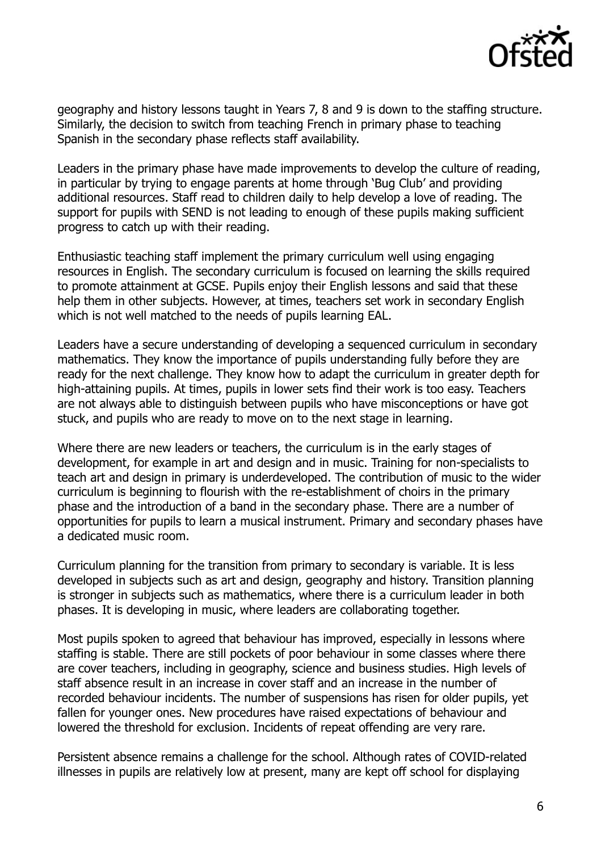

geography and history lessons taught in Years 7, 8 and 9 is down to the staffing structure. Similarly, the decision to switch from teaching French in primary phase to teaching Spanish in the secondary phase reflects staff availability.

Leaders in the primary phase have made improvements to develop the culture of reading, in particular by trying to engage parents at home through 'Bug Club' and providing additional resources. Staff read to children daily to help develop a love of reading. The support for pupils with SEND is not leading to enough of these pupils making sufficient progress to catch up with their reading.

Enthusiastic teaching staff implement the primary curriculum well using engaging resources in English. The secondary curriculum is focused on learning the skills required to promote attainment at GCSE. Pupils enjoy their English lessons and said that these help them in other subjects. However, at times, teachers set work in secondary English which is not well matched to the needs of pupils learning EAL.

Leaders have a secure understanding of developing a sequenced curriculum in secondary mathematics. They know the importance of pupils understanding fully before they are ready for the next challenge. They know how to adapt the curriculum in greater depth for high-attaining pupils. At times, pupils in lower sets find their work is too easy. Teachers are not always able to distinguish between pupils who have misconceptions or have got stuck, and pupils who are ready to move on to the next stage in learning.

Where there are new leaders or teachers, the curriculum is in the early stages of development, for example in art and design and in music. Training for non-specialists to teach art and design in primary is underdeveloped. The contribution of music to the wider curriculum is beginning to flourish with the re-establishment of choirs in the primary phase and the introduction of a band in the secondary phase. There are a number of opportunities for pupils to learn a musical instrument. Primary and secondary phases have a dedicated music room.

Curriculum planning for the transition from primary to secondary is variable. It is less developed in subjects such as art and design, geography and history. Transition planning is stronger in subjects such as mathematics, where there is a curriculum leader in both phases. It is developing in music, where leaders are collaborating together.

Most pupils spoken to agreed that behaviour has improved, especially in lessons where staffing is stable. There are still pockets of poor behaviour in some classes where there are cover teachers, including in geography, science and business studies. High levels of staff absence result in an increase in cover staff and an increase in the number of recorded behaviour incidents. The number of suspensions has risen for older pupils, yet fallen for younger ones. New procedures have raised expectations of behaviour and lowered the threshold for exclusion. Incidents of repeat offending are very rare.

Persistent absence remains a challenge for the school. Although rates of COVID-related illnesses in pupils are relatively low at present, many are kept off school for displaying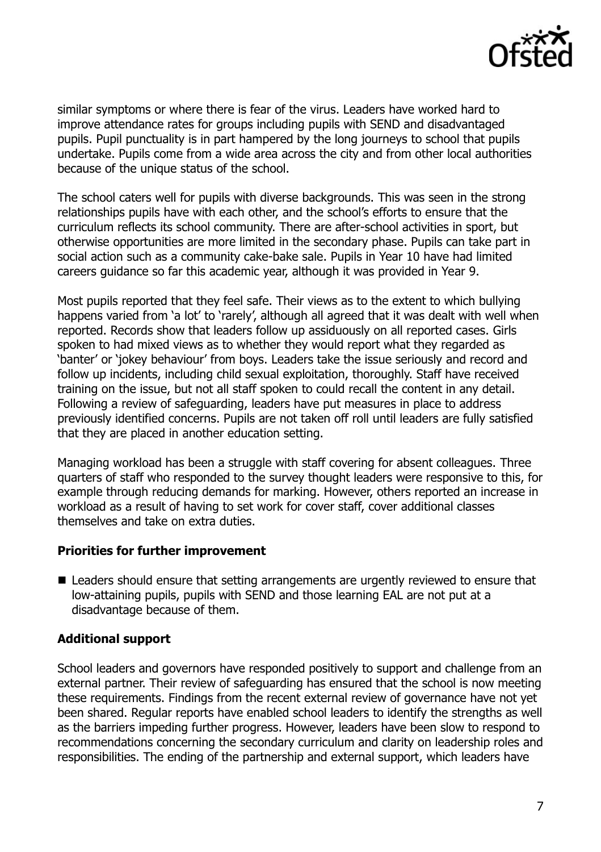

similar symptoms or where there is fear of the virus. Leaders have worked hard to improve attendance rates for groups including pupils with SEND and disadvantaged pupils. Pupil punctuality is in part hampered by the long journeys to school that pupils undertake. Pupils come from a wide area across the city and from other local authorities because of the unique status of the school.

The school caters well for pupils with diverse backgrounds. This was seen in the strong relationships pupils have with each other, and the school's efforts to ensure that the curriculum reflects its school community. There are after-school activities in sport, but otherwise opportunities are more limited in the secondary phase. Pupils can take part in social action such as a community cake-bake sale. Pupils in Year 10 have had limited careers guidance so far this academic year, although it was provided in Year 9.

Most pupils reported that they feel safe. Their views as to the extent to which bullying happens varied from 'a lot' to 'rarely', although all agreed that it was dealt with well when reported. Records show that leaders follow up assiduously on all reported cases. Girls spoken to had mixed views as to whether they would report what they regarded as 'banter' or 'jokey behaviour' from boys. Leaders take the issue seriously and record and follow up incidents, including child sexual exploitation, thoroughly. Staff have received training on the issue, but not all staff spoken to could recall the content in any detail. Following a review of safeguarding, leaders have put measures in place to address previously identified concerns. Pupils are not taken off roll until leaders are fully satisfied that they are placed in another education setting.

Managing workload has been a struggle with staff covering for absent colleagues. Three quarters of staff who responded to the survey thought leaders were responsive to this, for example through reducing demands for marking. However, others reported an increase in workload as a result of having to set work for cover staff, cover additional classes themselves and take on extra duties.

## **Priorities for further improvement**

■ Leaders should ensure that setting arrangements are urgently reviewed to ensure that low-attaining pupils, pupils with SEND and those learning EAL are not put at a disadvantage because of them.

# **Additional support**

School leaders and governors have responded positively to support and challenge from an external partner. Their review of safeguarding has ensured that the school is now meeting these requirements. Findings from the recent external review of governance have not yet been shared. Regular reports have enabled school leaders to identify the strengths as well as the barriers impeding further progress. However, leaders have been slow to respond to recommendations concerning the secondary curriculum and clarity on leadership roles and responsibilities. The ending of the partnership and external support, which leaders have